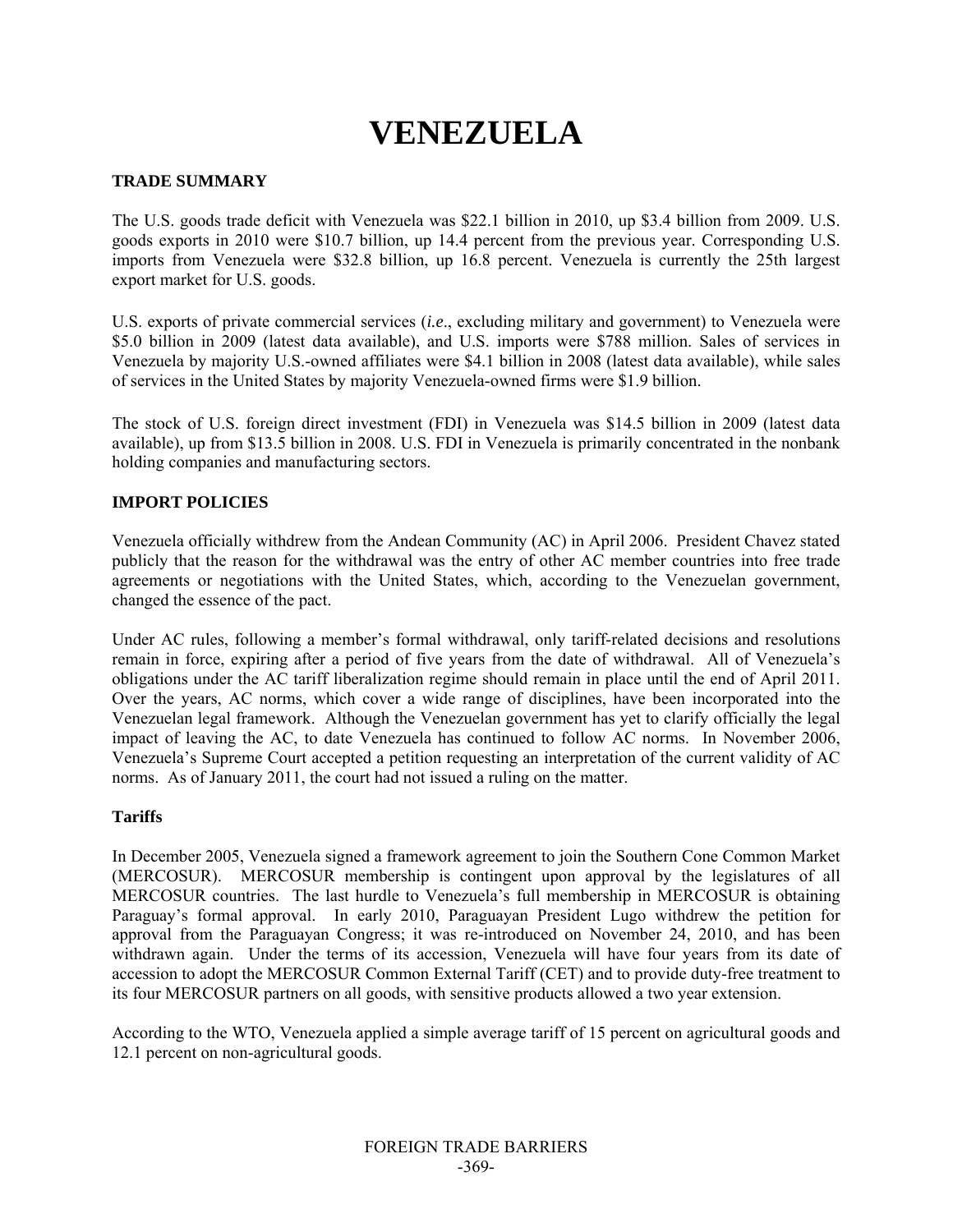# **VENEZUELA**

## **TRADE SUMMARY**

The U.S. goods trade deficit with Venezuela was \$22.1 billion in 2010, up \$3.4 billion from 2009. U.S. goods exports in 2010 were \$10.7 billion, up 14.4 percent from the previous year. Corresponding U.S. imports from Venezuela were \$32.8 billion, up 16.8 percent. Venezuela is currently the 25th largest export market for U.S. goods.

U.S. exports of private commercial services (*i.e*., excluding military and government) to Venezuela were \$5.0 billion in 2009 (latest data available), and U.S. imports were \$788 million. Sales of services in Venezuela by majority U.S.-owned affiliates were \$4.1 billion in 2008 (latest data available), while sales of services in the United States by majority Venezuela-owned firms were \$1.9 billion.

The stock of U.S. foreign direct investment (FDI) in Venezuela was \$14.5 billion in 2009 (latest data available), up from \$13.5 billion in 2008. U.S. FDI in Venezuela is primarily concentrated in the nonbank holding companies and manufacturing sectors.

# **IMPORT POLICIES**

Venezuela officially withdrew from the Andean Community (AC) in April 2006. President Chavez stated publicly that the reason for the withdrawal was the entry of other AC member countries into free trade agreements or negotiations with the United States, which, according to the Venezuelan government, changed the essence of the pact.

Under AC rules, following a member's formal withdrawal, only tariff-related decisions and resolutions remain in force, expiring after a period of five years from the date of withdrawal. All of Venezuela's obligations under the AC tariff liberalization regime should remain in place until the end of April 2011. Over the years, AC norms, which cover a wide range of disciplines, have been incorporated into the Venezuelan legal framework. Although the Venezuelan government has yet to clarify officially the legal impact of leaving the AC, to date Venezuela has continued to follow AC norms. In November 2006, Venezuela's Supreme Court accepted a petition requesting an interpretation of the current validity of AC norms. As of January 2011, the court had not issued a ruling on the matter.

## **Tariffs**

In December 2005, Venezuela signed a framework agreement to join the Southern Cone Common Market (MERCOSUR). MERCOSUR membership is contingent upon approval by the legislatures of all MERCOSUR countries. The last hurdle to Venezuela's full membership in MERCOSUR is obtaining Paraguay's formal approval. In early 2010, Paraguayan President Lugo withdrew the petition for approval from the Paraguayan Congress; it was re-introduced on November 24, 2010, and has been withdrawn again. Under the terms of its accession, Venezuela will have four years from its date of accession to adopt the MERCOSUR Common External Tariff (CET) and to provide duty-free treatment to its four MERCOSUR partners on all goods, with sensitive products allowed a two year extension.

According to the WTO, Venezuela applied a simple average tariff of 15 percent on agricultural goods and 12.1 percent on non-agricultural goods.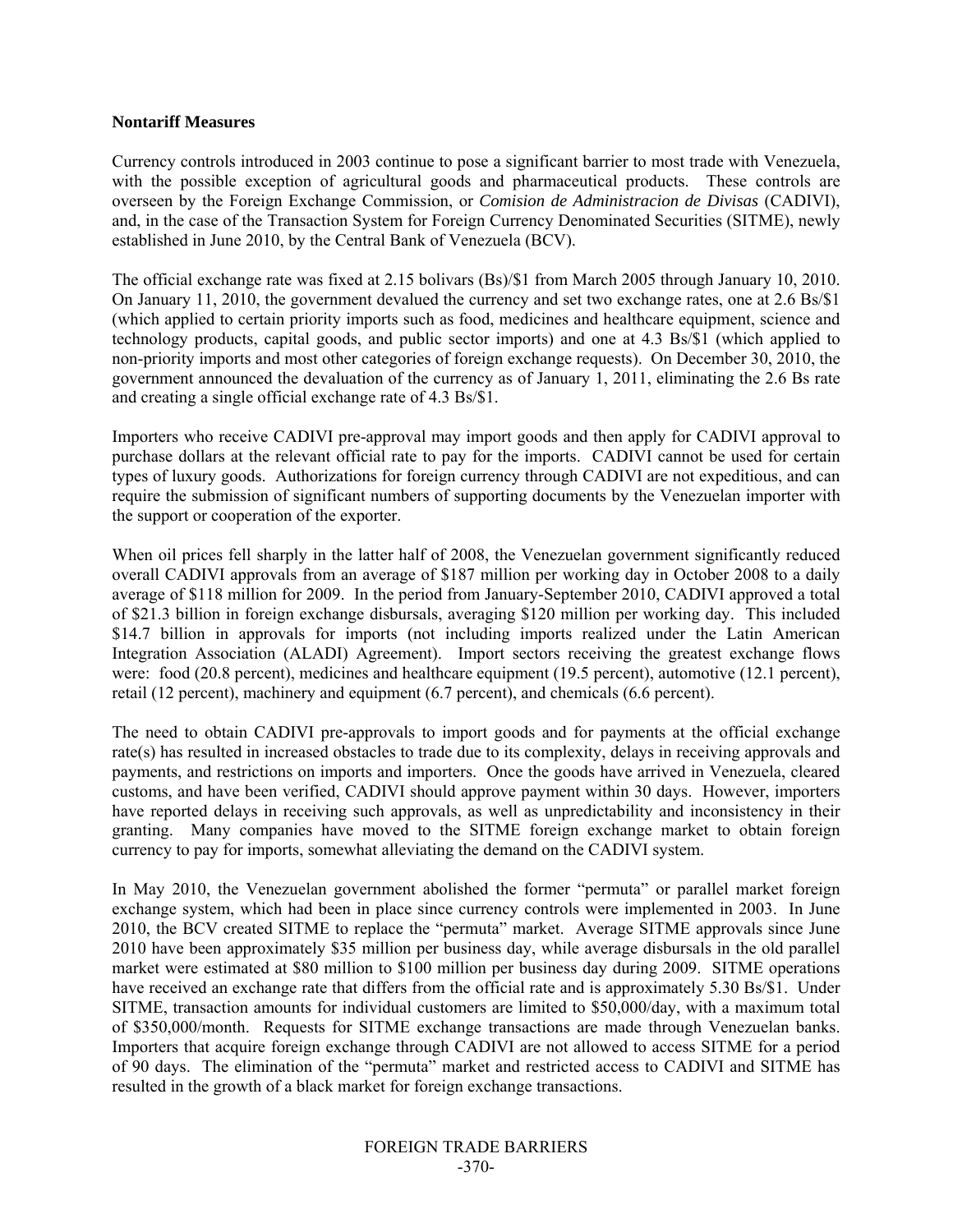#### **Nontariff Measures**

Currency controls introduced in 2003 continue to pose a significant barrier to most trade with Venezuela, with the possible exception of agricultural goods and pharmaceutical products. These controls are overseen by the Foreign Exchange Commission, or *Comision de Administracion de Divisas* (CADIVI), and, in the case of the Transaction System for Foreign Currency Denominated Securities (SITME), newly established in June 2010, by the Central Bank of Venezuela (BCV).

The official exchange rate was fixed at 2.15 bolivars (Bs)/\$1 from March 2005 through January 10, 2010. On January 11, 2010, the government devalued the currency and set two exchange rates, one at 2.6 Bs/\$1 (which applied to certain priority imports such as food, medicines and healthcare equipment, science and technology products, capital goods, and public sector imports) and one at 4.3 Bs/\$1 (which applied to non-priority imports and most other categories of foreign exchange requests). On December 30, 2010, the government announced the devaluation of the currency as of January 1, 2011, eliminating the 2.6 Bs rate and creating a single official exchange rate of 4.3 Bs/\$1.

Importers who receive CADIVI pre-approval may import goods and then apply for CADIVI approval to purchase dollars at the relevant official rate to pay for the imports. CADIVI cannot be used for certain types of luxury goods. Authorizations for foreign currency through CADIVI are not expeditious, and can require the submission of significant numbers of supporting documents by the Venezuelan importer with the support or cooperation of the exporter.

When oil prices fell sharply in the latter half of 2008, the Venezuelan government significantly reduced overall CADIVI approvals from an average of \$187 million per working day in October 2008 to a daily average of \$118 million for 2009. In the period from January-September 2010, CADIVI approved a total of \$21.3 billion in foreign exchange disbursals, averaging \$120 million per working day. This included \$14.7 billion in approvals for imports (not including imports realized under the Latin American Integration Association (ALADI) Agreement). Import sectors receiving the greatest exchange flows were: food (20.8 percent), medicines and healthcare equipment (19.5 percent), automotive (12.1 percent), retail (12 percent), machinery and equipment (6.7 percent), and chemicals (6.6 percent).

The need to obtain CADIVI pre-approvals to import goods and for payments at the official exchange rate(s) has resulted in increased obstacles to trade due to its complexity, delays in receiving approvals and payments, and restrictions on imports and importers. Once the goods have arrived in Venezuela, cleared customs, and have been verified, CADIVI should approve payment within 30 days. However, importers have reported delays in receiving such approvals, as well as unpredictability and inconsistency in their granting. Many companies have moved to the SITME foreign exchange market to obtain foreign currency to pay for imports, somewhat alleviating the demand on the CADIVI system.

In May 2010, the Venezuelan government abolished the former "permuta" or parallel market foreign exchange system, which had been in place since currency controls were implemented in 2003. In June 2010, the BCV created SITME to replace the "permuta" market. Average SITME approvals since June 2010 have been approximately \$35 million per business day, while average disbursals in the old parallel market were estimated at \$80 million to \$100 million per business day during 2009. SITME operations have received an exchange rate that differs from the official rate and is approximately 5.30 Bs/\$1. Under SITME, transaction amounts for individual customers are limited to \$50,000/day, with a maximum total of \$350,000/month. Requests for SITME exchange transactions are made through Venezuelan banks. Importers that acquire foreign exchange through CADIVI are not allowed to access SITME for a period of 90 days. The elimination of the "permuta" market and restricted access to CADIVI and SITME has resulted in the growth of a black market for foreign exchange transactions.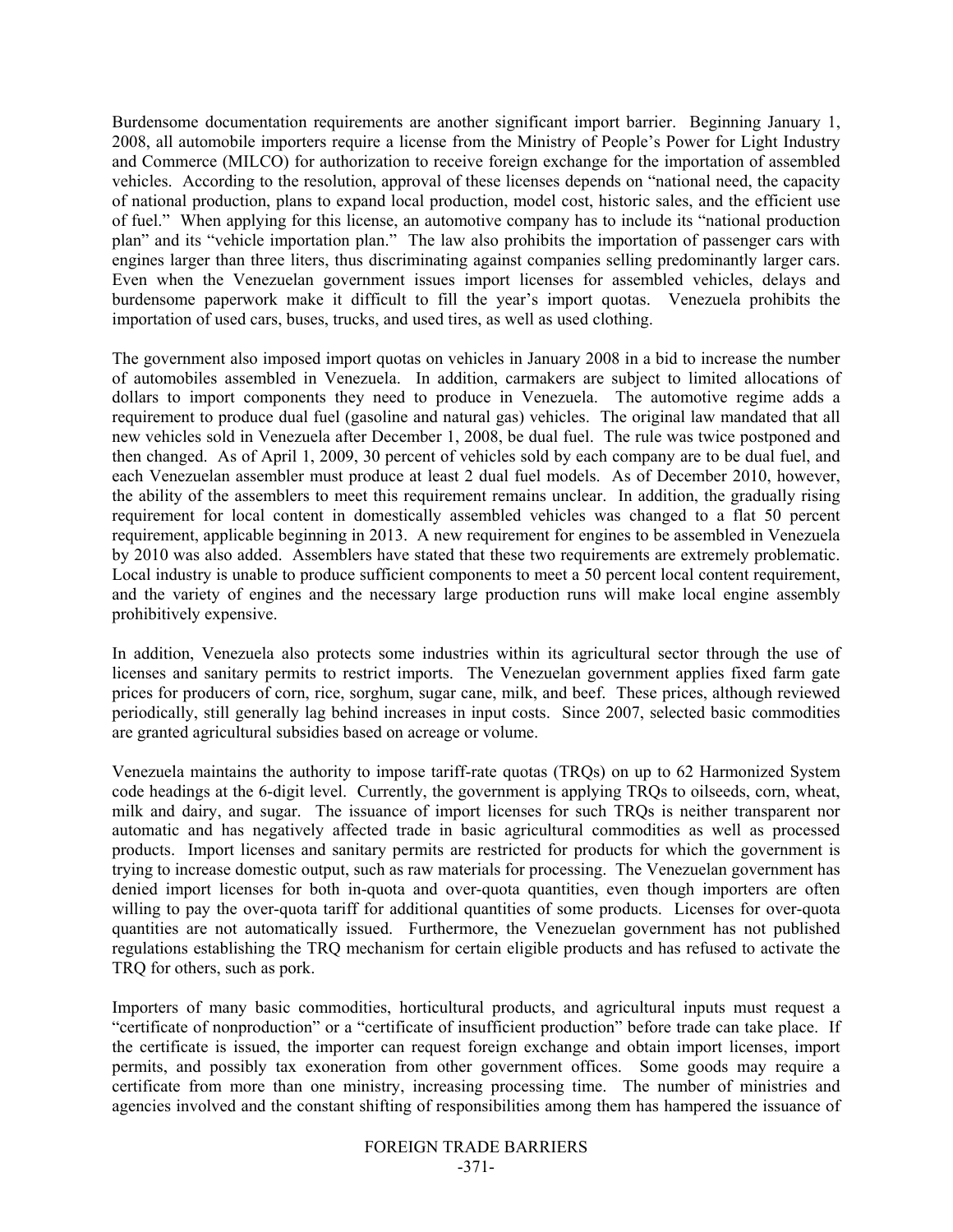Burdensome documentation requirements are another significant import barrier. Beginning January 1, 2008, all automobile importers require a license from the Ministry of People's Power for Light Industry and Commerce (MILCO) for authorization to receive foreign exchange for the importation of assembled vehicles. According to the resolution, approval of these licenses depends on "national need, the capacity of national production, plans to expand local production, model cost, historic sales, and the efficient use of fuel." When applying for this license, an automotive company has to include its "national production plan" and its "vehicle importation plan." The law also prohibits the importation of passenger cars with engines larger than three liters, thus discriminating against companies selling predominantly larger cars. Even when the Venezuelan government issues import licenses for assembled vehicles, delays and burdensome paperwork make it difficult to fill the year's import quotas. Venezuela prohibits the importation of used cars, buses, trucks, and used tires, as well as used clothing.

The government also imposed import quotas on vehicles in January 2008 in a bid to increase the number of automobiles assembled in Venezuela. In addition, carmakers are subject to limited allocations of dollars to import components they need to produce in Venezuela. The automotive regime adds a requirement to produce dual fuel (gasoline and natural gas) vehicles. The original law mandated that all new vehicles sold in Venezuela after December 1, 2008, be dual fuel. The rule was twice postponed and then changed. As of April 1, 2009, 30 percent of vehicles sold by each company are to be dual fuel, and each Venezuelan assembler must produce at least 2 dual fuel models. As of December 2010, however, the ability of the assemblers to meet this requirement remains unclear. In addition, the gradually rising requirement for local content in domestically assembled vehicles was changed to a flat 50 percent requirement, applicable beginning in 2013. A new requirement for engines to be assembled in Venezuela by 2010 was also added. Assemblers have stated that these two requirements are extremely problematic. Local industry is unable to produce sufficient components to meet a 50 percent local content requirement, and the variety of engines and the necessary large production runs will make local engine assembly prohibitively expensive.

In addition, Venezuela also protects some industries within its agricultural sector through the use of licenses and sanitary permits to restrict imports. The Venezuelan government applies fixed farm gate prices for producers of corn, rice, sorghum, sugar cane, milk, and beef. These prices, although reviewed periodically, still generally lag behind increases in input costs. Since 2007, selected basic commodities are granted agricultural subsidies based on acreage or volume.

Venezuela maintains the authority to impose tariff-rate quotas (TRQs) on up to 62 Harmonized System code headings at the 6-digit level. Currently, the government is applying TRQs to oilseeds, corn, wheat, milk and dairy, and sugar. The issuance of import licenses for such TRQs is neither transparent nor automatic and has negatively affected trade in basic agricultural commodities as well as processed products. Import licenses and sanitary permits are restricted for products for which the government is trying to increase domestic output, such as raw materials for processing. The Venezuelan government has denied import licenses for both in-quota and over-quota quantities, even though importers are often willing to pay the over-quota tariff for additional quantities of some products. Licenses for over-quota quantities are not automatically issued. Furthermore, the Venezuelan government has not published regulations establishing the TRQ mechanism for certain eligible products and has refused to activate the TRQ for others, such as pork.

Importers of many basic commodities, horticultural products, and agricultural inputs must request a "certificate of nonproduction" or a "certificate of insufficient production" before trade can take place. If the certificate is issued, the importer can request foreign exchange and obtain import licenses, import permits, and possibly tax exoneration from other government offices. Some goods may require a certificate from more than one ministry, increasing processing time. The number of ministries and agencies involved and the constant shifting of responsibilities among them has hampered the issuance of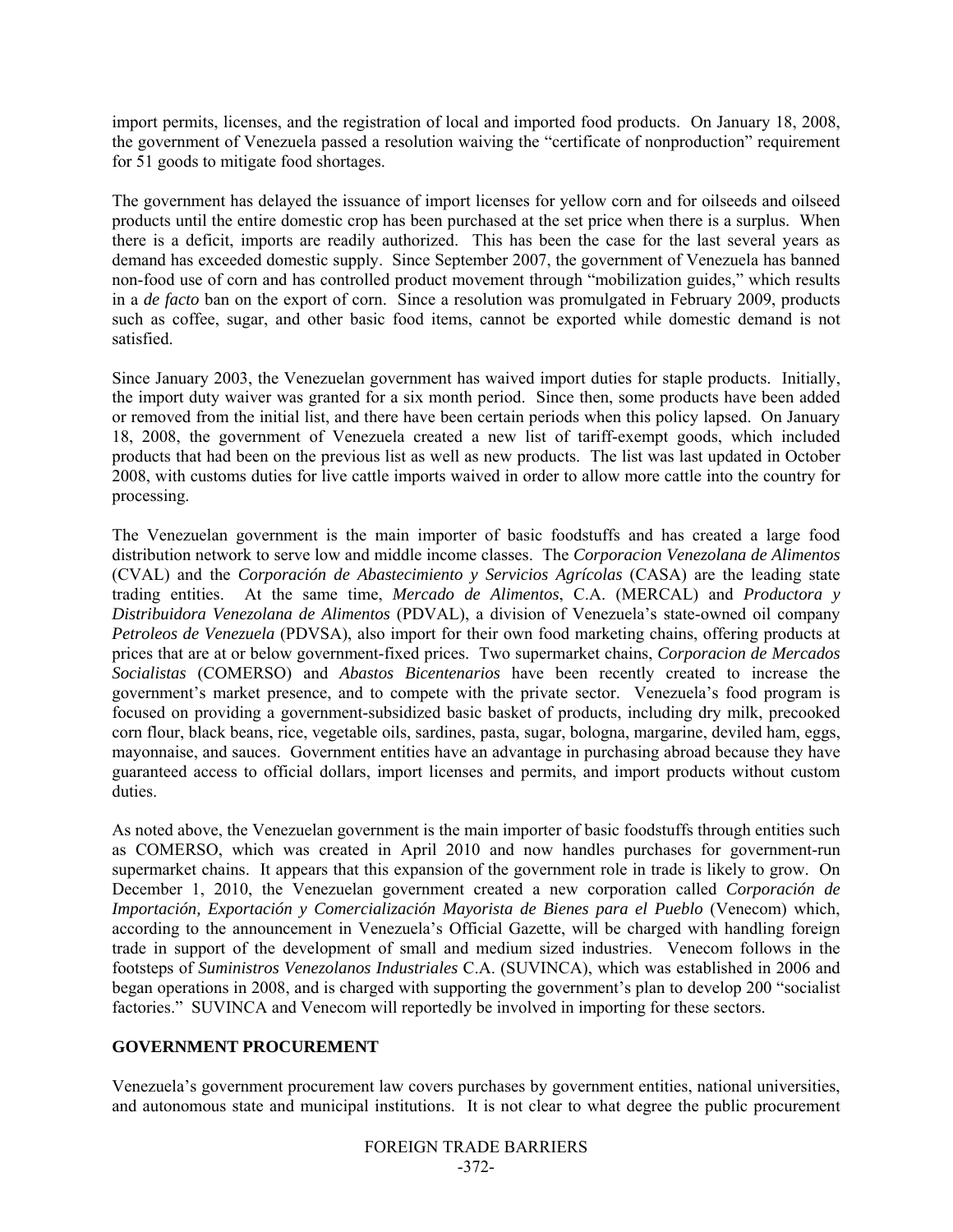import permits, licenses, and the registration of local and imported food products. On January 18, 2008, the government of Venezuela passed a resolution waiving the "certificate of nonproduction" requirement for 51 goods to mitigate food shortages.

The government has delayed the issuance of import licenses for yellow corn and for oilseeds and oilseed products until the entire domestic crop has been purchased at the set price when there is a surplus. When there is a deficit, imports are readily authorized. This has been the case for the last several years as demand has exceeded domestic supply. Since September 2007, the government of Venezuela has banned non-food use of corn and has controlled product movement through "mobilization guides," which results in a *de facto* ban on the export of corn. Since a resolution was promulgated in February 2009, products such as coffee, sugar, and other basic food items, cannot be exported while domestic demand is not satisfied.

Since January 2003, the Venezuelan government has waived import duties for staple products. Initially, the import duty waiver was granted for a six month period. Since then, some products have been added or removed from the initial list, and there have been certain periods when this policy lapsed. On January 18, 2008, the government of Venezuela created a new list of tariff-exempt goods, which included products that had been on the previous list as well as new products. The list was last updated in October 2008, with customs duties for live cattle imports waived in order to allow more cattle into the country for processing.

The Venezuelan government is the main importer of basic foodstuffs and has created a large food distribution network to serve low and middle income classes. The *Corporacion Venezolana de Alimentos* (CVAL) and the *Corporación de Abastecimiento y Servicios Agrícolas* (CASA) are the leading state trading entities. At the same time, *Mercado de Alimentos*, C.A. (MERCAL) and *Productora y Distribuidora Venezolana de Alimentos* (PDVAL), a division of Venezuela's state-owned oil company *Petroleos de Venezuela* (PDVSA), also import for their own food marketing chains, offering products at prices that are at or below government-fixed prices. Two supermarket chains, *Corporacion de Mercados Socialistas* (COMERSO) and *Abastos Bicentenarios* have been recently created to increase the government's market presence, and to compete with the private sector. Venezuela's food program is focused on providing a government-subsidized basic basket of products, including dry milk, precooked corn flour, black beans, rice, vegetable oils, sardines, pasta, sugar, bologna, margarine, deviled ham, eggs, mayonnaise, and sauces. Government entities have an advantage in purchasing abroad because they have guaranteed access to official dollars, import licenses and permits, and import products without custom duties.

As noted above, the Venezuelan government is the main importer of basic foodstuffs through entities such as COMERSO, which was created in April 2010 and now handles purchases for government-run supermarket chains. It appears that this expansion of the government role in trade is likely to grow. On December 1, 2010, the Venezuelan government created a new corporation called *Corporación de Importación, Exportación y Comercialización Mayorista de Bienes para el Pueblo* (Venecom) which, according to the announcement in Venezuela's Official Gazette, will be charged with handling foreign trade in support of the development of small and medium sized industries. Venecom follows in the footsteps of *Suministros Venezolanos Industriales* C.A. (SUVINCA), which was established in 2006 and began operations in 2008, and is charged with supporting the government's plan to develop 200 "socialist factories." SUVINCA and Venecom will reportedly be involved in importing for these sectors.

## **GOVERNMENT PROCUREMENT**

Venezuela's government procurement law covers purchases by government entities, national universities, and autonomous state and municipal institutions. It is not clear to what degree the public procurement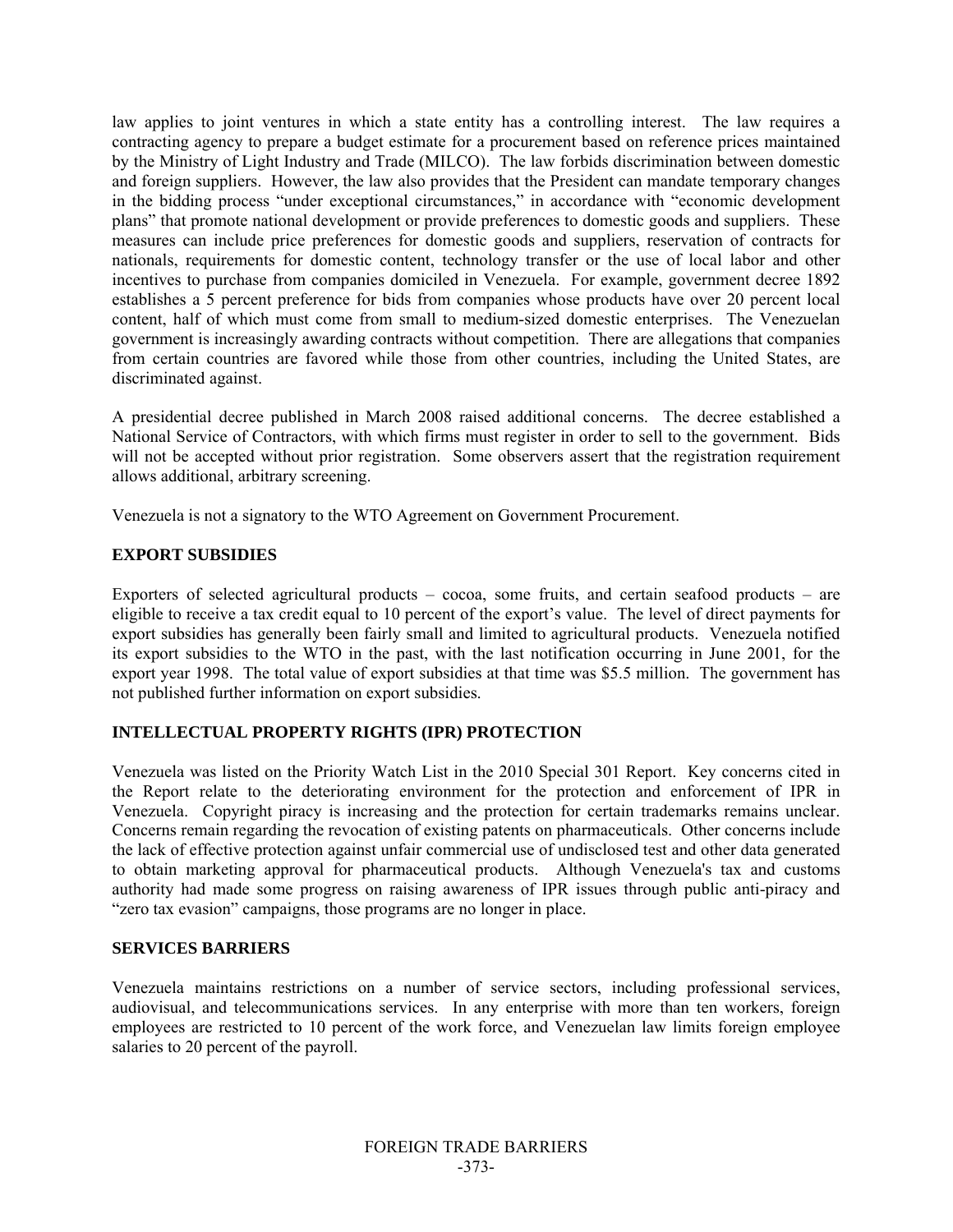law applies to joint ventures in which a state entity has a controlling interest. The law requires a contracting agency to prepare a budget estimate for a procurement based on reference prices maintained by the Ministry of Light Industry and Trade (MILCO). The law forbids discrimination between domestic and foreign suppliers. However, the law also provides that the President can mandate temporary changes in the bidding process "under exceptional circumstances," in accordance with "economic development plans" that promote national development or provide preferences to domestic goods and suppliers. These measures can include price preferences for domestic goods and suppliers, reservation of contracts for nationals, requirements for domestic content, technology transfer or the use of local labor and other incentives to purchase from companies domiciled in Venezuela. For example, government decree 1892 establishes a 5 percent preference for bids from companies whose products have over 20 percent local content, half of which must come from small to medium-sized domestic enterprises. The Venezuelan government is increasingly awarding contracts without competition. There are allegations that companies from certain countries are favored while those from other countries, including the United States, are discriminated against.

A presidential decree published in March 2008 raised additional concerns. The decree established a National Service of Contractors, with which firms must register in order to sell to the government. Bids will not be accepted without prior registration. Some observers assert that the registration requirement allows additional, arbitrary screening.

Venezuela is not a signatory to the WTO Agreement on Government Procurement.

## **EXPORT SUBSIDIES**

Exporters of selected agricultural products – cocoa, some fruits, and certain seafood products – are eligible to receive a tax credit equal to 10 percent of the export's value. The level of direct payments for export subsidies has generally been fairly small and limited to agricultural products. Venezuela notified its export subsidies to the WTO in the past, with the last notification occurring in June 2001, for the export year 1998. The total value of export subsidies at that time was \$5.5 million. The government has not published further information on export subsidies.

# **INTELLECTUAL PROPERTY RIGHTS (IPR) PROTECTION**

Venezuela was listed on the Priority Watch List in the 2010 Special 301 Report. Key concerns cited in the Report relate to the deteriorating environment for the protection and enforcement of IPR in Venezuela. Copyright piracy is increasing and the protection for certain trademarks remains unclear. Concerns remain regarding the revocation of existing patents on pharmaceuticals. Other concerns include the lack of effective protection against unfair commercial use of undisclosed test and other data generated to obtain marketing approval for pharmaceutical products. Although Venezuela's tax and customs authority had made some progress on raising awareness of IPR issues through public anti-piracy and "zero tax evasion" campaigns, those programs are no longer in place.

## **SERVICES BARRIERS**

Venezuela maintains restrictions on a number of service sectors, including professional services, audiovisual, and telecommunications services. In any enterprise with more than ten workers, foreign employees are restricted to 10 percent of the work force, and Venezuelan law limits foreign employee salaries to 20 percent of the payroll.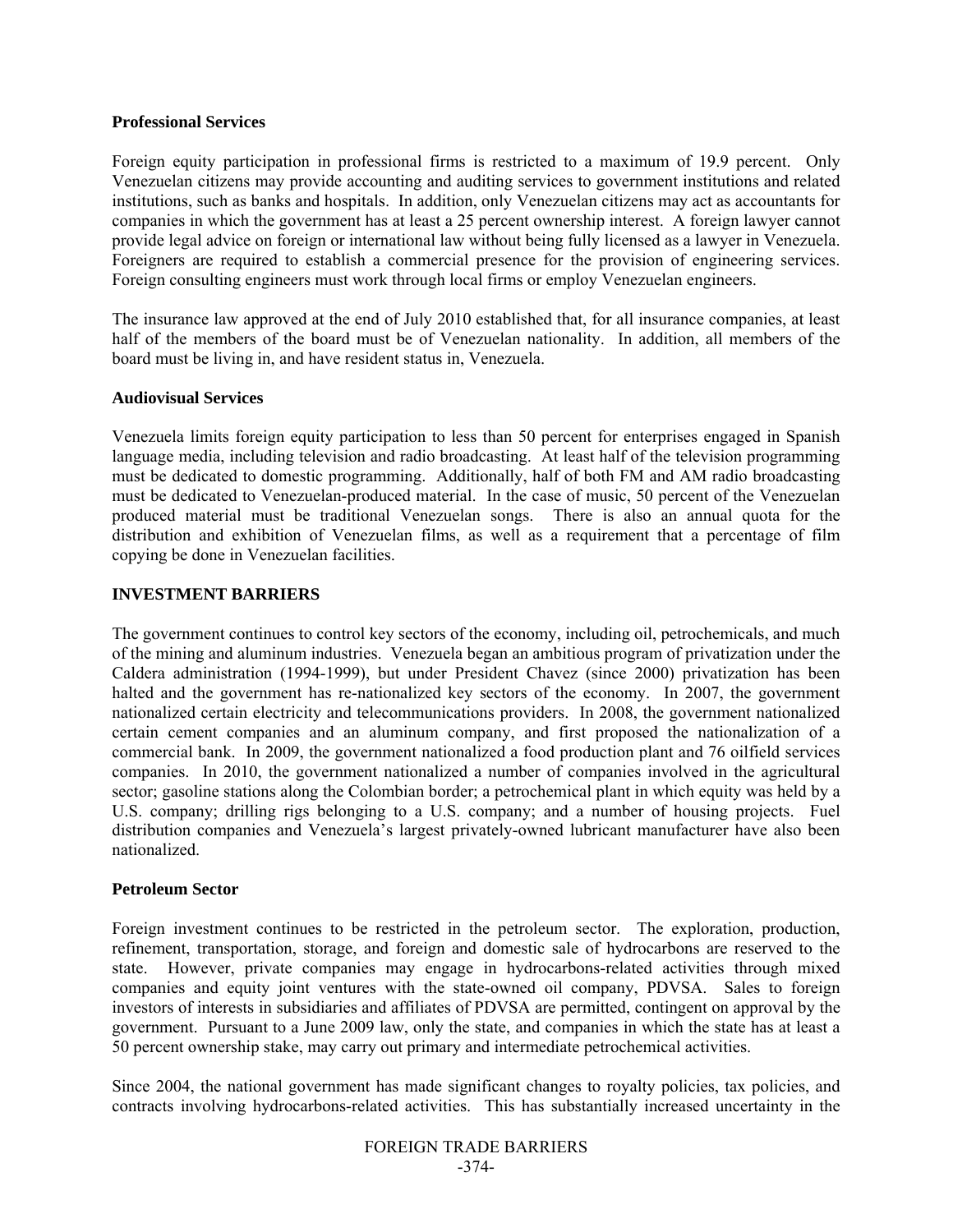### **Professional Services**

Foreign equity participation in professional firms is restricted to a maximum of 19.9 percent. Only Venezuelan citizens may provide accounting and auditing services to government institutions and related institutions, such as banks and hospitals. In addition, only Venezuelan citizens may act as accountants for companies in which the government has at least a 25 percent ownership interest. A foreign lawyer cannot provide legal advice on foreign or international law without being fully licensed as a lawyer in Venezuela. Foreigners are required to establish a commercial presence for the provision of engineering services. Foreign consulting engineers must work through local firms or employ Venezuelan engineers.

The insurance law approved at the end of July 2010 established that, for all insurance companies, at least half of the members of the board must be of Venezuelan nationality. In addition, all members of the board must be living in, and have resident status in, Venezuela.

## **Audiovisual Services**

Venezuela limits foreign equity participation to less than 50 percent for enterprises engaged in Spanish language media, including television and radio broadcasting. At least half of the television programming must be dedicated to domestic programming. Additionally, half of both FM and AM radio broadcasting must be dedicated to Venezuelan-produced material. In the case of music, 50 percent of the Venezuelan produced material must be traditional Venezuelan songs. There is also an annual quota for the distribution and exhibition of Venezuelan films, as well as a requirement that a percentage of film copying be done in Venezuelan facilities.

## **INVESTMENT BARRIERS**

The government continues to control key sectors of the economy, including oil, petrochemicals, and much of the mining and aluminum industries. Venezuela began an ambitious program of privatization under the Caldera administration (1994-1999), but under President Chavez (since 2000) privatization has been halted and the government has re-nationalized key sectors of the economy. In 2007, the government nationalized certain electricity and telecommunications providers. In 2008, the government nationalized certain cement companies and an aluminum company, and first proposed the nationalization of a commercial bank. In 2009, the government nationalized a food production plant and 76 oilfield services companies. In 2010, the government nationalized a number of companies involved in the agricultural sector; gasoline stations along the Colombian border; a petrochemical plant in which equity was held by a U.S. company; drilling rigs belonging to a U.S. company; and a number of housing projects. Fuel distribution companies and Venezuela's largest privately-owned lubricant manufacturer have also been nationalized.

## **Petroleum Sector**

Foreign investment continues to be restricted in the petroleum sector. The exploration, production, refinement, transportation, storage, and foreign and domestic sale of hydrocarbons are reserved to the state. However, private companies may engage in hydrocarbons-related activities through mixed companies and equity joint ventures with the state-owned oil company, PDVSA. Sales to foreign investors of interests in subsidiaries and affiliates of PDVSA are permitted, contingent on approval by the government. Pursuant to a June 2009 law, only the state, and companies in which the state has at least a 50 percent ownership stake, may carry out primary and intermediate petrochemical activities.

Since 2004, the national government has made significant changes to royalty policies, tax policies, and contracts involving hydrocarbons-related activities. This has substantially increased uncertainty in the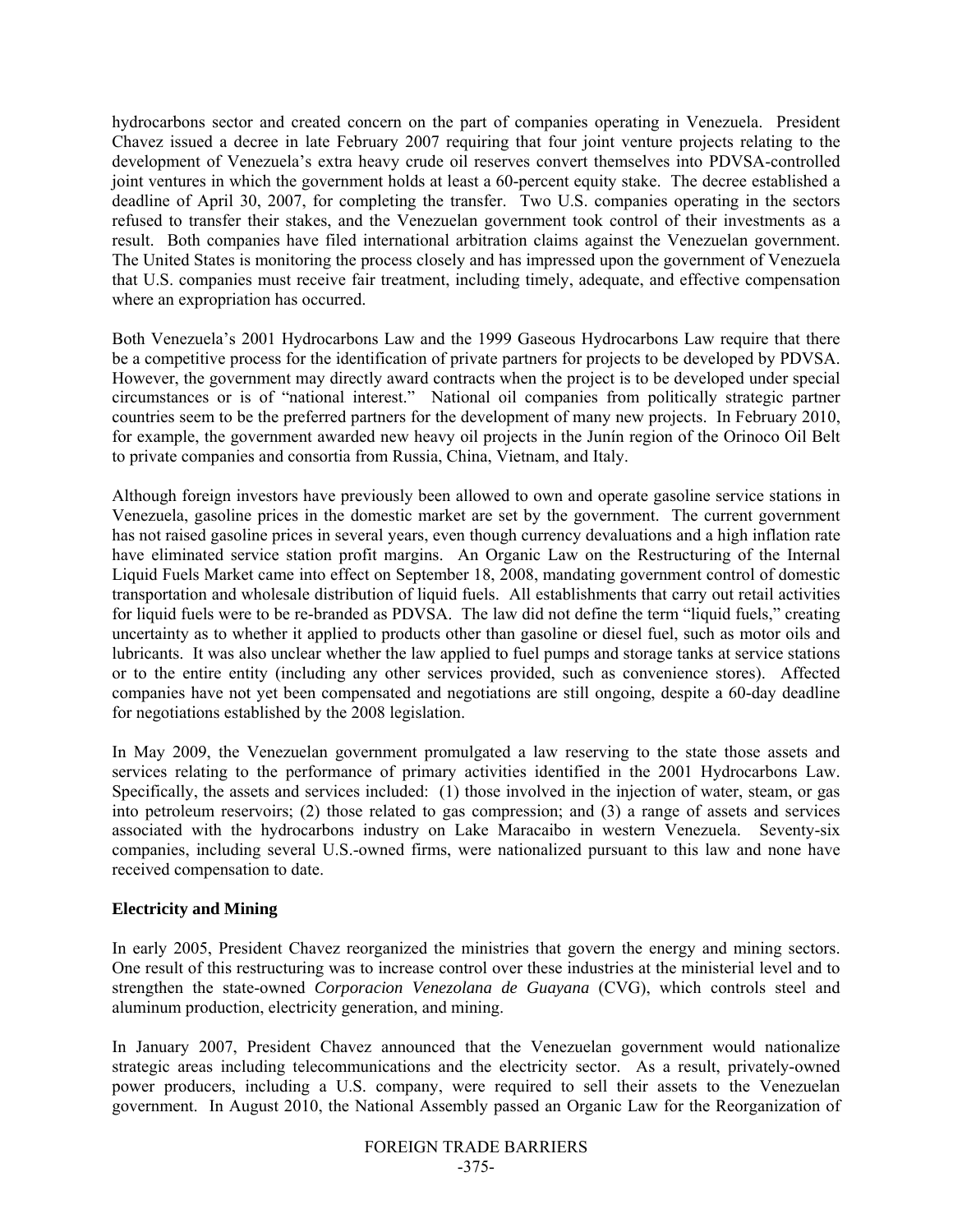hydrocarbons sector and created concern on the part of companies operating in Venezuela. President Chavez issued a decree in late February 2007 requiring that four joint venture projects relating to the development of Venezuela's extra heavy crude oil reserves convert themselves into PDVSA-controlled joint ventures in which the government holds at least a 60-percent equity stake. The decree established a deadline of April 30, 2007, for completing the transfer. Two U.S. companies operating in the sectors refused to transfer their stakes, and the Venezuelan government took control of their investments as a result. Both companies have filed international arbitration claims against the Venezuelan government. The United States is monitoring the process closely and has impressed upon the government of Venezuela that U.S. companies must receive fair treatment, including timely, adequate, and effective compensation where an expropriation has occurred.

Both Venezuela's 2001 Hydrocarbons Law and the 1999 Gaseous Hydrocarbons Law require that there be a competitive process for the identification of private partners for projects to be developed by PDVSA. However, the government may directly award contracts when the project is to be developed under special circumstances or is of "national interest." National oil companies from politically strategic partner countries seem to be the preferred partners for the development of many new projects. In February 2010, for example, the government awarded new heavy oil projects in the Junín region of the Orinoco Oil Belt to private companies and consortia from Russia, China, Vietnam, and Italy.

Although foreign investors have previously been allowed to own and operate gasoline service stations in Venezuela, gasoline prices in the domestic market are set by the government. The current government has not raised gasoline prices in several years, even though currency devaluations and a high inflation rate have eliminated service station profit margins. An Organic Law on the Restructuring of the Internal Liquid Fuels Market came into effect on September 18, 2008, mandating government control of domestic transportation and wholesale distribution of liquid fuels. All establishments that carry out retail activities for liquid fuels were to be re-branded as PDVSA. The law did not define the term "liquid fuels," creating uncertainty as to whether it applied to products other than gasoline or diesel fuel, such as motor oils and lubricants. It was also unclear whether the law applied to fuel pumps and storage tanks at service stations or to the entire entity (including any other services provided, such as convenience stores). Affected companies have not yet been compensated and negotiations are still ongoing, despite a 60-day deadline for negotiations established by the 2008 legislation.

In May 2009, the Venezuelan government promulgated a law reserving to the state those assets and services relating to the performance of primary activities identified in the 2001 Hydrocarbons Law. Specifically, the assets and services included: (1) those involved in the injection of water, steam, or gas into petroleum reservoirs; (2) those related to gas compression; and (3) a range of assets and services associated with the hydrocarbons industry on Lake Maracaibo in western Venezuela. Seventy-six companies, including several U.S.-owned firms, were nationalized pursuant to this law and none have received compensation to date.

## **Electricity and Mining**

In early 2005, President Chavez reorganized the ministries that govern the energy and mining sectors. One result of this restructuring was to increase control over these industries at the ministerial level and to strengthen the state-owned *Corporacion Venezolana de Guayana* (CVG), which controls steel and aluminum production, electricity generation, and mining.

In January 2007, President Chavez announced that the Venezuelan government would nationalize strategic areas including telecommunications and the electricity sector. As a result, privately-owned power producers, including a U.S. company, were required to sell their assets to the Venezuelan government. In August 2010, the National Assembly passed an Organic Law for the Reorganization of